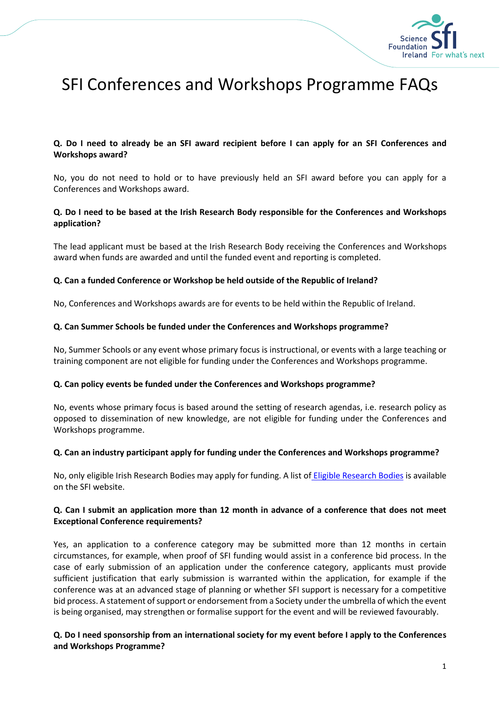

# SFI Conferences and Workshops Programme FAQs

## **Q. Do I need to already be an SFI award recipient before I can apply for an SFI Conferences and Workshops award?**

No, you do not need to hold or to have previously held an SFI award before you can apply for a Conferences and Workshops award.

## **Q. Do I need to be based at the Irish Research Body responsible for the Conferences and Workshops application?**

The lead applicant must be based at the Irish Research Body receiving the Conferences and Workshops award when funds are awarded and until the funded event and reporting is completed.

#### **Q. Can a funded Conference or Workshop be held outside of the Republic of Ireland?**

No, Conferences and Workshops awards are for events to be held within the Republic of Ireland.

#### **Q. Can Summer Schools be funded under the Conferences and Workshops programme?**

No, Summer Schools or any event whose primary focus is instructional, or events with a large teaching or training component are not eligible for funding under the Conferences and Workshops programme.

#### **Q. Can policy events be funded under the Conferences and Workshops programme?**

No, events whose primary focus is based around the setting of research agendas, i.e. research policy as opposed to dissemination of new knowledge, are not eligible for funding under the Conferences and Workshops programme.

#### **Q. Can an industry participant apply for funding under the Conferences and Workshops programme?**

No, only eligible Irish Research Bodies may apply for funding. A list of [Eligible Research Bodies](http://www.sfi.ie/funding/sfi-policies-and-guidance/eligibility-related-information/) is available on the SFI website.

## **Q. Can I submit an application more than 12 month in advance of a conference that does not meet Exceptional Conference requirements?**

Yes, an application to a conference category may be submitted more than 12 months in certain circumstances, for example, when proof of SFI funding would assist in a conference bid process. In the case of early submission of an application under the conference category, applicants must provide sufficient justification that early submission is warranted within the application, for example if the conference was at an advanced stage of planning or whether SFI support is necessary for a competitive bid process. A statement of support or endorsement from a Society under the umbrella of which the event is being organised, may strengthen or formalise support for the event and will be reviewed favourably.

## **Q. Do I need sponsorship from an international society for my event before I apply to the Conferences and Workshops Programme?**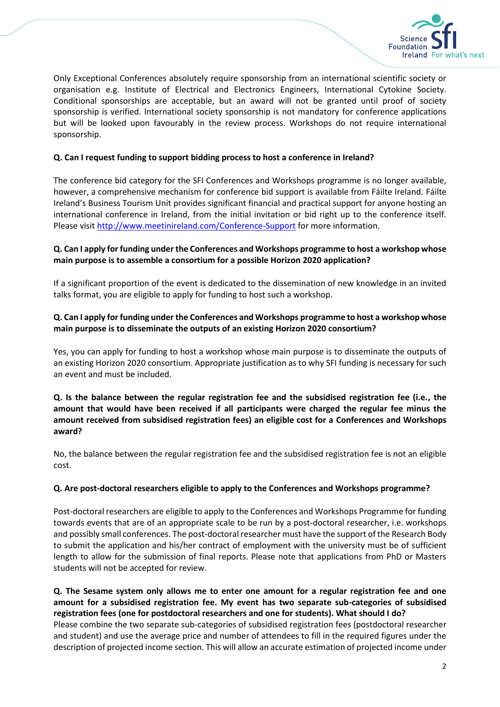

Only Exceptional Conferences absolutely require sponsorship from an international scientific society or organisation e.g. Institute of Electrical and Electronics Engineers, International Cytokine Society. Conditional sponsorships are acceptable, but an award will not be granted until proof of society sponsorship is verified. International society sponsorship is not mandatory for conference applications but will be looked upon favourably in the review process. Workshops do not require international sponsorship.

## **Q. Can I request funding to support bidding process to host a conference in Ireland?**

The conference bid category for the SFI Conferences and Workshops programme is no longer available, however, a comprehensive mechanism for conference bid support is available from Fáilte Ireland. Fáilte Ireland's Business Tourism Unit provides significant financial and practical support for anyone hosting an international conference in Ireland, from the initial invitation or bid right up to the conference itself. Please visi[t http://www.meetinireland.com/Conference-Support](http://www.meetinireland.com/Conference-Support) for more information.

# **Q. Can I apply for funding under the Conferences and Workshops programme to host a workshop whose main purpose is to assemble a consortium for a possible Horizon 2020 application?**

If a significant proportion of the event is dedicated to the dissemination of new knowledge in an invited talks format, you are eligible to apply for funding to host such a workshop.

# **Q. Can I apply for funding under the Conferences and Workshops programme to host a workshop whose main purpose is to disseminate the outputs of an existing Horizon 2020 consortium?**

Yes, you can apply for funding to host a workshop whose main purpose is to disseminate the outputs of an existing Horizon 2020 consortium. Appropriate justification as to why SFI funding is necessary for such an event and must be included.

# **Q. Is the balance between the regular registration fee and the subsidised registration fee (i.e., the amount that would have been received if all participants were charged the regular fee minus the amount received from subsidised registration fees) an eligible cost for a Conferences and Workshops award?**

No, the balance between the regular registration fee and the subsidised registration fee is not an eligible cost.

#### **Q. Are post-doctoral researchers eligible to apply to the Conferences and Workshops programme?**

Post-doctoral researchers are eligible to apply to the Conferences and Workshops Programme for funding towards events that are of an appropriate scale to be run by a post-doctoral researcher, i.e. workshops and possibly small conferences. The post-doctoral researcher must have the support of the Research Body to submit the application and his/her contract of employment with the university must be of sufficient length to allow for the submission of final reports. Please note that applications from PhD or Masters students will not be accepted for review.

# **Q. The Sesame system only allows me to enter one amount for a regular registration fee and one amount for a subsidised registration fee. My event has two separate sub-categories of subsidised registration fees (one for postdoctoral researchers and one for students). What should I do?** Please combine the two separate sub-categories of subsidised registration fees (postdoctoral researcher and student) and use the average price and number of attendees to fill in the required figures under the description of projected income section. This will allow an accurate estimation of projected income under